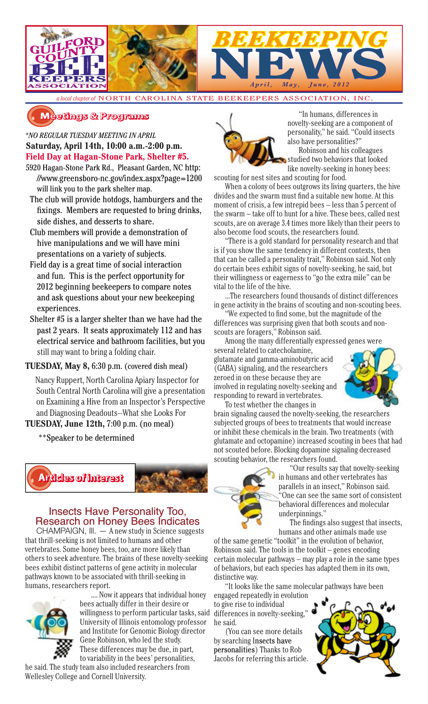

*a local chapter of* NORTH CAROLINA STATE BEEKEEPERS ASSOCIATION, INC.

### **�������� � ��������**

### *\*NO REGULAR TUESDAY MEETING IN APRIL* **Saturday, April 14th, 10:00 a.m.-2:00 p.m. Field Day at Hagan-Stone Park, Shelter #5.**

- 5920 Hagan-Stone Park Rd., Pleasant Garden, NC http: //www.greensboro-nc.gov/index.aspx?page=1200 will link you to the park shelter map.
- The club will provide hotdogs, hamburgers and the fixings. Members are requested to bring drinks, side dishes, and desserts to share.
- Club members will provide a demonstration of hive manipulations and we will have mini presentations on a variety of subjects.
- Field day is a great time of social interaction and fun. This is the perfect opportunity for 2012 beginning beekeepers to compare notes and ask questions about your new beekeeping experiences.
- Shelter #5 is a larger shelter than we have had the past 2 years. It seats approximately 112 and has electrical service and bathroom facilities, but you still may want to bring a folding chair.

#### **TUESDAY, May 8,** 6:30 p.m. (covered dish meal)

 Nancy Ruppert, North Carolina Apiary Inspector for South Central North Carolina will give a presentation on Examining a Hive from an Inspector's Perspective and Diagnosing Deadouts--What she Looks For

#### **TUESDAY, June 12th,** 7:00 p.m. (no meal)

\*\*Speaker to be determined





# Insects Have Personality Too, Research on Honey Bees Indicates

CHAMPAIGN, Ill. — A new study in Science suggests that thrill-seeking is not limited to humans and other vertebrates. Some honey bees, too, are more likely than others to seek adventure. The brains of these novelty-seeking bees exhibit distinct patterns of gene activity in molecular pathways known to be associated with thrill-seeking in humans, researchers report.



.... Now it appears that individual honey bees actually differ in their desire or willingness to perform particular tasks, said differences in novelty-seeking," University of Illinois entomology professor and Institute for Genomic Biology director Gene Robinson, who led the study. These differences may be due, in part,

to variability in the bees' personalities, he said. The study team also included researchers from Wellesley College and Cornell University.



"In humans, differences in novelty-seeking are a component of personality," he said. "Could insects also have personalities?"

Robinson and his colleagues studied two behaviors that looked like novelty-seeking in honey bees:

scouting for nest sites and scouting for food.

When a colony of bees outgrows its living quarters, the hive divides and the swarm must find a suitable new home. At this moment of crisis, a few intrepid bees – less than 5 percent of the swarm – take off to hunt for a hive. These bees, called nest scouts, are on average 3.4 times more likely than their peers to also become food scouts, the researchers found.

"There is a gold standard for personality research and that is if you show the same tendency in different contexts, then that can be called a personality trait," Robinson said. Not only do certain bees exhibit signs of novelty-seeking, he said, but their willingness or eagerness to "go the extra mile" can be vital to the life of the hive.

...The researchers found thousands of distinct differences in gene activity in the brains of scouting and non-scouting bees.

"We expected to find some, but the magnitude of the differences was surprising given that both scouts and nonscouts are foragers," Robinson said.

Among the many differentially expressed genes were several related to catecholamine,

glutamate and gamma-aminobutyric acid (GABA) signaling, and the researchers zeroed in on these because they are involved in regulating novelty-seeking and responding to reward in vertebrates.



To test whether the changes in brain signaling caused the novelty-seeking, the researchers subjected groups of bees to treatments that would increase or inhibit these chemicals in the brain. Two treatments (with glutamate and octopamine) increased scouting in bees that had not scouted before. Blocking dopamine signaling decreased scouting behavior, the researchers found.



"Our results say that novelty-seeking in humans and other vertebrates has parallels in an insect," Robinson said. "One can see the same sort of consistent behavioral differences and molecular underpinnings."

The findings also suggest that insects, humans and other animals made use

of the same genetic "toolkit" in the evolution of behavior, Robinson said. The tools in the toolkit – genes encoding certain molecular pathways – may play a role in the same types of behaviors, but each species has adapted them in its own, distinctive way.

"It looks like the same molecular pathways have been engaged repeatedly in evolution

to give rise to individual he said.

(You can see more details by searching Insects have personalities) Thanks to Rob Jacobs for referring this article.

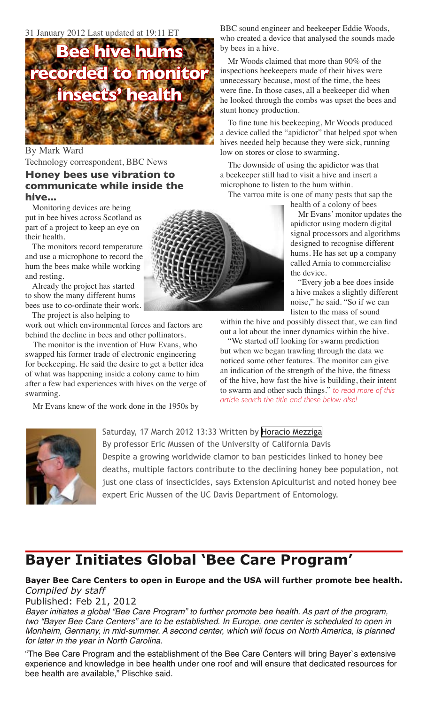

### By Mark Ward Technology correspondent, BBC News **Honey bees use vibration to communicate while inside the**

**hive...** Monitoring devices are being put in bee hives across Scotland as part of a project to keep an eye on their health.

The monitors record temperature and use a microphone to record the hum the bees make while working and resting.

Already the project has started to show the many different hums bees use to co-ordinate their work.

The project is also helping to

work out which environmental forces and factors are behind the decline in bees and other pollinators.

The monitor is the invention of Huw Evans, who swapped his former trade of electronic engineering for beekeeping. He said the desire to get a better idea of what was happening inside a colony came to him after a few bad experiences with hives on the verge of swarming.

Mr Evans knew of the work done in the 1950s by



BBC sound engineer and beekeeper Eddie Woods, who created a device that analysed the sounds made by bees in a hive.

Mr Woods claimed that more than 90% of the inspections beekeepers made of their hives were unnecessary because, most of the time, the bees were fine. In those cases, all a beekeeper did when he looked through the combs was upset the bees and stunt honey production.

To fine tune his beekeeping, Mr Woods produced a device called the "apidictor" that helped spot when hives needed help because they were sick, running low on stores or close to swarming.

The downside of using the apidictor was that a beekeeper still had to visit a hive and insert a microphone to listen to the hum within.

The varroa mite is one of many pests that sap the health of a colony of bees

Mr Evans' monitor updates the apidictor using modern digital signal processors and algorithms designed to recognise different hums. He has set up a company called Arnia to commercialise the device.

"Every job a bee does inside a hive makes a slightly different noise," he said. "So if we can listen to the mass of sound

within the hive and possibly dissect that, we can find out a lot about the inner dynamics within the hive.

"We started off looking for swarm prediction but when we began trawling through the data we noticed some other features. The monitor can give an indication of the strength of the hive, the fitness of the hive, how fast the hive is building, their intent to swarm and other such things." *to read more of this article search the title and these below also!*



Saturday, 17 March 2012 13:33 Written by [Horacio Mezziga](http://www.apinews.com/en/component/k2/itemlist/user/1507-horaciomezziga) By professor Eric Mussen of the University of California Davis Despite a growing worldwide clamor to ban pesticides linked to honey bee deaths, multiple factors contribute to the declining honey bee population, not just one class of insecticides, says Extension Apiculturist and noted honey bee expert Eric Mussen of the UC Davis Department of Entomology.

# **Bayer Initiates Global 'Bee Care Program'**

## **Bayer Bee Care Centers to open in Europe and the USA will further promote bee health.** *Compiled by staff*

Published: Feb 21, 2012

Bayer initiates a global "Bee Care Program" to further promote bee health. As part of the program, two "Bayer Bee Care Centers" are to be established. In Europe, one center is scheduled to open in Monheim, Germany, in mid-summer. A second center, which will focus on North America, is planned for later in the year in North Carolina.

"The Bee Care Program and the establishment of the Bee Care Centers will bring Bayer`s extensive experience and knowledge in bee health under one roof and will ensure that dedicated resources for bee health are available," Plischke said.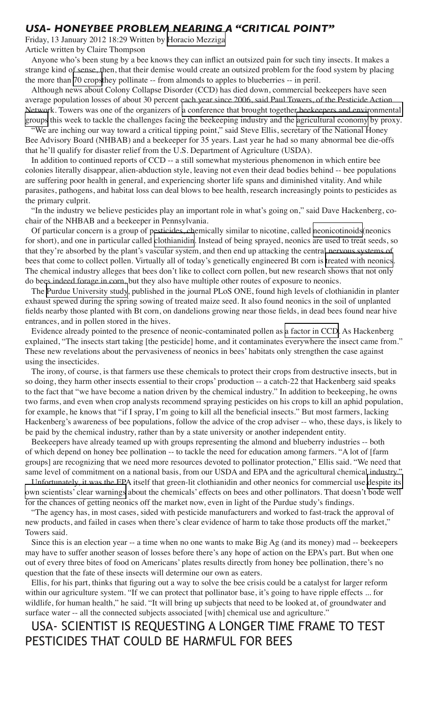### *USA- HONEYBEE PROBLEM NEARING A "CRITICAL POINT"*

Friday, 13 January 2012 18:29 Written by [Horacio Mezziga](http://www.apinews.com/en/component/k2/itemlist/user/1507-horaciomezziga)

Article written by Claire Thompson

Anyone who's been stung by a bee knows they can inflict an outsized pain for such tiny insects. It makes a strange kind of sense, then, that their demise would create an outsized problem for the food system by placing the more than [70 cropst](http://en.wikipedia.org/wiki/List_of_crop_plants_pollinated_by_bees)hey pollinate -- from almonds to apples to blueberries -- in peril.

Although news about Colony Collapse Disorder (CCD) has died down, commercial beekeepers have seen average population losses of about 30 percent each year since 2006, said Paul Towers, of the Pesticide Action Network. Towers was one of the organizers of [a conference that brought together beekeepers and environmental](http://www.sacbee.com/2012/01/10/4177304/beekeepers-are-critical-to-economy.html)  [groups](http://www.sacbee.com/2012/01/10/4177304/beekeepers-are-critical-to-economy.html) this week to tackle the challenges facing the beekeeping industry and the [agricultural economy](http://www.enewspf.com/latest-news/science-a-environmental/30059-honey-bee-losses-impact-food-system-and-economy.html) by proxy.

"We are inching our way toward a critical tipping point," said Steve Ellis, secretary of the National Honey Bee Advisory Board (NHBAB) and a beekeeper for 35 years. Last year he had so many abnormal bee die-offs that he'll qualify for disaster relief from the U.S. Department of Agriculture (USDA).

In addition to continued reports of CCD -- a still somewhat mysterious phenomenon in which entire bee colonies literally disappear, alien-abduction style, leaving not even their dead bodies behind -- bee populations are suffering poor health in general, and experiencing shorter life spans and diminished vitality. And while parasites, pathogens, and habitat loss can deal blows to bee health, research increasingly points to pesticides as the primary culprit.

"In the industry we believe pesticides play an important role in what's going on," said Dave Hackenberg, cochair of the NHBAB and a beekeeper in Pennsylvania.

Of particular concern is a group of pesticides, chemically similar to nicotine, called [neonicotinoids\(](http://en.wikipedia.org/wiki/Neonicotinoid)neonics for short), and one in particular called [clothianidin.](http://en.wikipedia.org/wiki/Clothianidin) Instead of being sprayed, neonics are used to treat seeds, so that they're absorbed by the plant's vascular system, and then end up attacking the central nervous systems of bees that come to collect pollen. Virtually all of today's genetically engineered Bt corn is [treated with neonics](http://blog.ucsusa.org/genetically-engineered-crops-in-the-real-world-%E2%80%93-bt-corn-insecticide-use-and-honeybees-2). The chemical industry alleges that bees don't like to collect corn pollen, but new research shows that not only do bees indeed forage in corn, but they also have multiple other routes of exposure to neonics.

The [Purdue University study,](http://www.plosone.org/article/info%3Adoi%2F10.1371%2Fjournal.pone.0029268) published in the journal PLoS ONE, found high levels of clothianidin in planter exhaust spewed during the spring sowing of treated maize seed. It also found neonics in the soil of unplanted fields nearby those planted with Bt corn, on dandelions growing near those fields, in dead bees found near hive entrances, and in pollen stored in the hives.

Evidence already pointed to the presence of neonic-contaminated pollen as [a factor in CCD.](http://www.grist.org/industrial-agriculture/2011-04-06-should-pesticides-be-banned-protect-bees-USDA-scientist-pettis) As Hackenberg explained, "The insects start taking [the pesticide] home, and it contaminates everywhere the insect came from." These new revelations about the pervasiveness of neonics in bees' habitats only strengthen the case against using the insecticides.

The irony, of course, is that farmers use these chemicals to protect their crops from destructive insects, but in so doing, they harm other insects essential to their crops' production -- a catch-22 that Hackenberg said speaks to the fact that "we have become a nation driven by the chemical industry." In addition to beekeeping, he owns two farms, and even when crop analysts recommend spraying pesticides on his crops to kill an aphid population, for example, he knows that "if I spray, I'm going to kill all the beneficial insects." But most farmers, lacking Hackenberg's awareness of bee populations, follow the advice of the crop adviser -- who, these days, is likely to be paid by the chemical industry, rather than by a state university or another independent entity.

Beekeepers have already teamed up with groups representing the almond and blueberry industries -- both of which depend on honey bee pollination -- to tackle the need for education among farmers. "A lot of [farm groups] are recognizing that we need more resources devoted to pollinator protection," Ellis said. "We need that same level of commitment on a national basis, from our USDA and EPA and the agricultural chemical industry."

Unfortunately, it was the EPA itself that green-lit clothianidin and other neonics for commercial use,[despite its](http://www.grist.org/article/food-2010-12-10-leaked-documents-show-epa-allowed-bee-toxic-pesticide-)  [own scientists' clear warnings](http://www.grist.org/article/food-2010-12-10-leaked-documents-show-epa-allowed-bee-toxic-pesticide-) about the chemicals' effects on bees and other pollinators. That doesn't bode well for the chances of getting neonics off the market now, even in light of the Purdue study's findings.

"The agency has, in most cases, sided with pesticide manufacturers and worked to fast-track the approval of new products, and failed in cases when there's clear evidence of harm to take those products off the market," Towers said.

Since this is an election year -- a time when no one wants to make Big Ag (and its money) mad -- beekeepers may have to suffer another season of losses before there's any hope of action on the EPA's part. But when one out of every three bites of food on Americans' plates results directly from honey bee pollination, there's no question that the fate of these insects will determine our own as eaters.

Ellis, for his part, thinks that figuring out a way to solve the bee crisis could be a catalyst for larger reform within our agriculture system. "If we can protect that pollinator base, it's going to have ripple effects ... for wildlife, for human health," he said. "It will bring up subjects that need to be looked at, of groundwater and surface water -- all the connected subjects associated [with] chemical use and agriculture."

## USA- SCIENTIST IS REQUESTING A LONGER TIME FRAME TO TEST PESTICIDES THAT COULD BE HARMFUL FOR BEES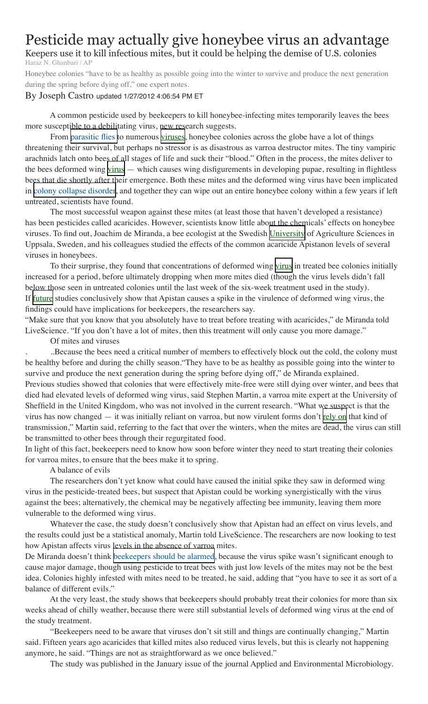# Pesticide may actually give honeybee virus an advantage

Keepers use it to kill infectious mites, but it could be helping the demise of U.S. colonies Haraz N. Ghanbari / AP

Honeybee colonies "have to be as healthy as possible going into the winter to survive and produce the next generation during the spring before dying off," one expert notes.

#### By Joseph Castro updated 1/27/2012 4:06:54 PM ET

A common pesticide used by beekeepers to kill honeybee-infecting mites temporarily leaves the bees more susceptible to a debilitating virus, new research suggests.

From [parasitic flies t](http://www.livescience.com/17718-fly-parasite-honeybees.html)o numerous [viruses](http://www.msnbc.msn.com/id/46167215/ns/technology_and_science-science/#), honeybee colonies across the globe have a lot of things threatening their survival, but perhaps no stressor is as disastrous as varroa destructor mites. The tiny vampiric arachnids latch onto bees of all stages of life and suck their "blood." Often in the process, the mites deliver to the bees deformed wing [virus](http://www.msnbc.msn.com/id/46167215/ns/technology_and_science-science/#) - which causes wing disfigurements in developing pupae, resulting in flightless bees that die shortly after their emergence. Both these mites and the deformed wing virus have been implicated in [colony collapse disorder](http://www.livescience.com/271-bees-wiped-cascade-deadly-events.html), and together they can wipe out an entire honeybee colony within a few years if left untreated, scientists have found.

The most successful weapon against these mites (at least those that haven't developed a resistance) has been pesticides called acaricides. However, scientists know little about the chemicals' effects on honeybee viruses. To find out, Joachim de Miranda, a bee ecologist at the Swedish [University](http://www.msnbc.msn.com/id/46167215/ns/technology_and_science-science/#) of Agriculture Sciences in Uppsala, Sweden, and his colleagues studied the effects of the common acaricide Apistanon levels of several viruses in honeybees.

To their surprise, they found that concentrations of deformed wing [virus](http://www.msnbc.msn.com/id/46167215/ns/technology_and_science-science/#) in treated bee colonies initially increased for a period, before ultimately dropping when more mites died (though the virus levels didn't fall below those seen in untreated colonies until the last week of the six-week treatment used in the study). If [future](http://www.msnbc.msn.com/id/46167215/ns/technology_and_science-science/#) studies conclusively show that Apistan causes a spike in the virulence of deformed wing virus, the findings could have implications for beekeepers, the researchers say.

"Make sure that you know that you absolutely have to treat before treating with acaricides," de Miranda told LiveScience. "If you don't have a lot of mites, then this treatment will only cause you more damage."

Of mites and viruses

. ..Because the bees need a critical number of members to effectively block out the cold, the colony must be healthy before and during the chilly season."They have to be as healthy as possible going into the winter to survive and produce the next generation during the spring before dying off," de Miranda explained. Previous studies showed that colonies that were effectively mite-free were still dying over winter, and bees that died had elevated levels of deformed wing virus, said Stephen Martin, a varroa mite expert at the University of Sheffield in the United Kingdom, who was not involved in the current research. "What we suspect is that the virus has now changed  $-$  it was initially reliant on varroa, but now virulent forms don't [rely on](http://www.msnbc.msn.com/id/46167215/ns/technology_and_science-science/#) that kind of transmission," Martin said, referring to the fact that over the winters, when the mites are dead, the virus can still be transmitted to other bees through their regurgitated food.

In light of this fact, beekeepers need to know how soon before winter they need to start treating their colonies for varroa mites, to ensure that the bees make it to spring.

A balance of evils

The researchers don't yet know what could have caused the initial spike they saw in deformed wing virus in the pesticide-treated bees, but suspect that Apistan could be working synergistically with the virus against the bees; alternatively, the chemical may be negatively affecting bee immunity, leaving them more vulnerable to the deformed wing virus.

Whatever the case, the study doesn't conclusively show that Apistan had an effect on virus levels, and the results could just be a statistical anomaly, Martin told LiveScience. The researchers are now looking to test how Apistan affects virus levels in the absence of varroa mites.

De Miranda doesn't think [beekeepers should be alarmed,](http://www.lifeslittlemysteries.com/1866-bee-truck-crash.html) because the virus spike wasn't significant enough to cause major damage, though using pesticide to treat bees with just low levels of the mites may not be the best idea. Colonies highly infested with mites need to be treated, he said, adding that "you have to see it as sort of a balance of different evils."

At the very least, the study shows that beekeepers should probably treat their colonies for more than six weeks ahead of chilly weather, because there were still substantial levels of deformed wing virus at the end of the study treatment.

"Beekeepers need to be aware that viruses don't sit still and things are continually changing," Martin said. Fifteen years ago acaricides that killed mites also reduced virus levels, but this is clearly not happening anymore, he said. "Things are not as straightforward as we once believed."

The study was published in the January issue of the journal Applied and Environmental Microbiology.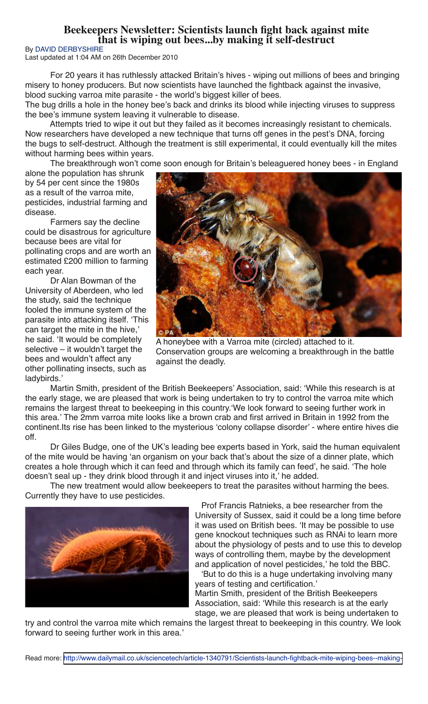# **Beekeepers Newsletter: Scientists launch fight back against mite that is wiping out bees...by making it self-destruct**

By DAVID DERBYSHIRE

Last updated at 1:04 AM on 26th December 2010

For 20 years it has ruthlessly attacked Britain's hives - wiping out millions of bees and bringing misery to honey producers. But now scientists have launched the fightback against the invasive, blood sucking varroa mite parasite - the world's biggest killer of bees.

The bug drills a hole in the honey bee's back and drinks its blood while injecting viruses to suppress the bee's immune system leaving it vulnerable to disease.

Attempts tried to wipe it out but they failed as it becomes increasingly resistant to chemicals. Now researchers have developed a new technique that turns off genes in the pest's DNA, forcing the bugs to self-destruct. Although the treatment is still experimental, it could eventually kill the mites without harming bees within years.

The breakthrough won't come soon enough for Britain's beleaguered honey bees - in England alone the population has shrunk

by 54 per cent since the 1980s as a result of the varroa mite, pesticides, industrial farming and disease.

Farmers say the decline could be disastrous for agriculture because bees are vital for pollinating crops and are worth an estimated £200 million to farming each year.

Dr Alan Bowman of the University of Aberdeen, who led the study, said the technique fooled the immune system of the parasite into attacking itself. 'This can target the mite in the hive,' he said. 'It would be completely selective – it wouldn't target the bees and wouldn't affect any other pollinating insects, such as ladybirds.'



A honeybee with a Varroa mite (circled) attached to it. Conservation groups are welcoming a breakthrough in the battle against the deadly.

Martin Smith, president of the British Beekeepers' Association, said: 'While this research is at the early stage, we are pleased that work is being undertaken to try to control the varroa mite which remains the largest threat to beekeeping in this country.
'We look forward to seeing further work in this area.' The 2mm varroa mite looks like a brown crab and first arrived in Britain in 1992 from the continent.Its rise has been linked to the mysterious 'colony collapse disorder' - where entire hives die off.

Dr Giles Budge, one of the UK's leading bee experts based in York, said the human equivalent of the mite would be having 'an organism on your back that's about the size of a dinner plate, which creates a hole through which it can feed and through which its family can feed', he said. 'The hole doesn't seal up - they drink blood through it and inject viruses into it,' he added.

The new treatment would allow beekeepers to treat the parasites without harming the bees. Currently they have to use pesticides.



Prof Francis Ratnieks, a bee researcher from the University of Sussex, said it could be a long time before it was used on British bees. 'It may be possible to use gene knockout techniques such as RNAi to learn more about the physiology of pests and to use this to develop ways of controlling them, maybe by the development and application of novel pesticides,' he told the BBC.

'But to do this is a huge undertaking involving many years of testing and certification.' Martin Smith, president of the British Beekeepers Association, said: 'While this research is at the early stage, we are pleased that work is being undertaken to

try and control the varroa mite which remains the largest threat to beekeeping in this country. We look forward to seeing further work in this area.'